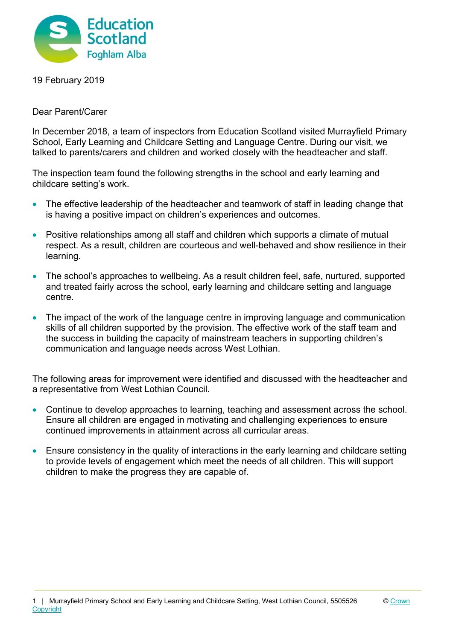

19 February 2019

Dear Parent/Carer

In December 2018, a team of inspectors from Education Scotland visited Murrayfield Primary School, Early Learning and Childcare Setting and Language Centre. During our visit, we talked to parents/carers and children and worked closely with the headteacher and staff.

The inspection team found the following strengths in the school and early learning and childcare setting's work.

- The effective leadership of the headteacher and teamwork of staff in leading change that is having a positive impact on children's experiences and outcomes.
- Positive relationships among all staff and children which supports a climate of mutual respect. As a result, children are courteous and well-behaved and show resilience in their learning.
- The school's approaches to wellbeing. As a result children feel, safe, nurtured, supported and treated fairly across the school, early learning and childcare setting and language centre.
- The impact of the work of the language centre in improving language and communication skills of all children supported by the provision. The effective work of the staff team and the success in building the capacity of mainstream teachers in supporting children's communication and language needs across West Lothian.

The following areas for improvement were identified and discussed with the headteacher and a representative from West Lothian Council.

- Continue to develop approaches to learning, teaching and assessment across the school. Ensure all children are engaged in motivating and challenging experiences to ensure continued improvements in attainment across all curricular areas.
- Ensure consistency in the quality of interactions in the early learning and childcare setting to provide levels of engagement which meet the needs of all children. This will support children to make the progress they are capable of.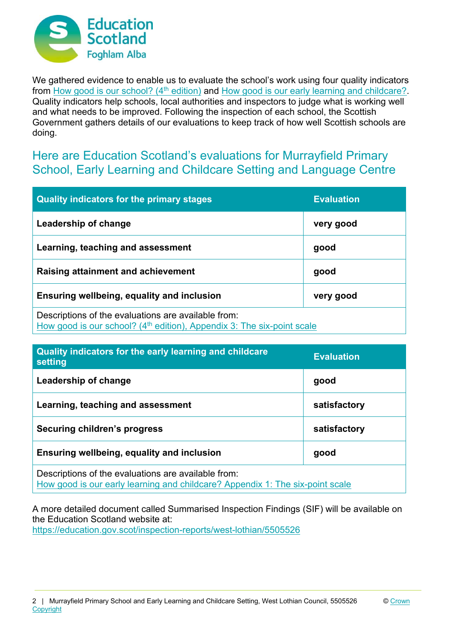

We gathered evidence to enable us to evaluate the school's work using four quality indicators from How good is our school? (4<sup>th</sup> edition) and How good is our early learning and childcare? Quality indicators help schools, local authorities and inspectors to judge what is working well and what needs to be improved. Following the inspection of each school, the Scottish Government gathers details of our evaluations to keep track of how well Scottish schools are doing.

## Here are Education Scotland's evaluations for Murrayfield Primary School, Early Learning and Childcare Setting and Language Centre

| <b>Quality indicators for the primary stages</b>                                                                                          | <b>Evaluation</b> |
|-------------------------------------------------------------------------------------------------------------------------------------------|-------------------|
| Leadership of change                                                                                                                      | very good         |
| Learning, teaching and assessment                                                                                                         | good              |
| Raising attainment and achievement                                                                                                        | good              |
| Ensuring wellbeing, equality and inclusion                                                                                                | very good         |
| Descriptions of the evaluations are available from:<br>How good is our school? (4 <sup>th</sup> edition), Appendix 3: The six-point scale |                   |

| Quality indicators for the early learning and childcare<br>setting                                                                   | <b>Evaluation</b> |
|--------------------------------------------------------------------------------------------------------------------------------------|-------------------|
| Leadership of change                                                                                                                 | good              |
| Learning, teaching and assessment                                                                                                    | satisfactory      |
| Securing children's progress                                                                                                         | satisfactory      |
| Ensuring wellbeing, equality and inclusion                                                                                           | good              |
| Descriptions of the evaluations are available from:<br>How good is our early learning and childcare? Appendix 1: The six-point scale |                   |

A more detailed document called Summarised Inspection Findings (SIF) will be available on the Education Scotland website at: https://education.gov.scot/inspection-reports/west-lothian/5505526